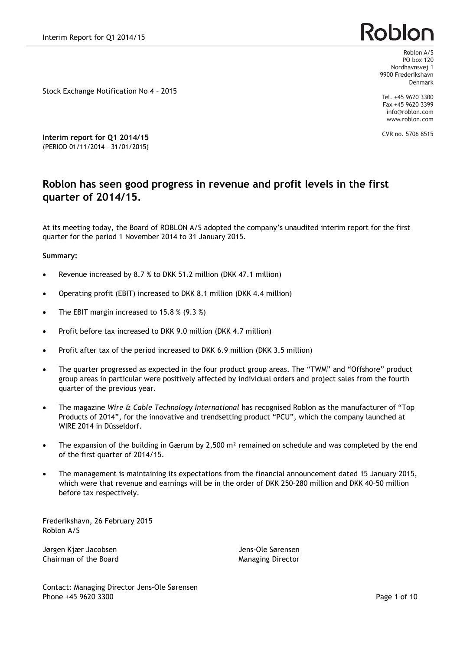# **Roblor**

Roblon A/S PO box 120 Nordhavnsvej 1 9900 Frederikshavn Denmark

Tel. +45 9620 3300 Fax +45 9620 3399 info@roblon.com

CVR no. 5706 8515

www.roblon.com

**Interim report for Q1 2014/15** (PERIOD 01/11/2014 – 31/01/2015)

Stock Exchange Notification No 4 – 2015

# **Roblon has seen good progress in revenue and profit levels in the first quarter of 2014/15.**

At its meeting today, the Board of ROBLON A/S adopted the company's unaudited interim report for the first quarter for the period 1 November 2014 to 31 January 2015.

#### **Summary:**

- · Revenue increased by 8.7 % to DKK 51.2 million (DKK 47.1 million)
- · Operating profit (EBIT) increased to DKK 8.1 million (DKK 4.4 million)
- The EBIT margin increased to 15.8  $%$  (9.3  $%$ )
- Profit before tax increased to DKK 9.0 million (DKK 4.7 million)
- · Profit after tax of the period increased to DKK 6.9 million (DKK 3.5 million)
- · The quarter progressed as expected in the four product group areas. The "TWM" and "Offshore" product group areas in particular were positively affected by individual orders and project sales from the fourth quarter of the previous year.
- · The magazine *Wire & Cable Technology International* has recognised Roblon as the manufacturer of "Top Products of 2014", for the innovative and trendsetting product "PCU", which the company launched at WIRE 2014 in Düsseldorf.
- The expansion of the building in Gærum by 2,500  $m<sup>2</sup>$  remained on schedule and was completed by the end of the first quarter of 2014/15.
- · The management is maintaining its expectations from the financial announcement dated 15 January 2015, which were that revenue and earnings will be in the order of DKK 250–280 million and DKK 40–50 million before tax respectively.

Frederikshavn, 26 February 2015 Roblon A/S

Jørgen Kjær Jacobsen Maria Jens-Ole Sørensen Jens-Ole Sørensen Chairman of the Board **Managing Director** Managing Director

Contact: Managing Director Jens-Ole Sørensen Phone +45 9620 3300 Page 1 of 10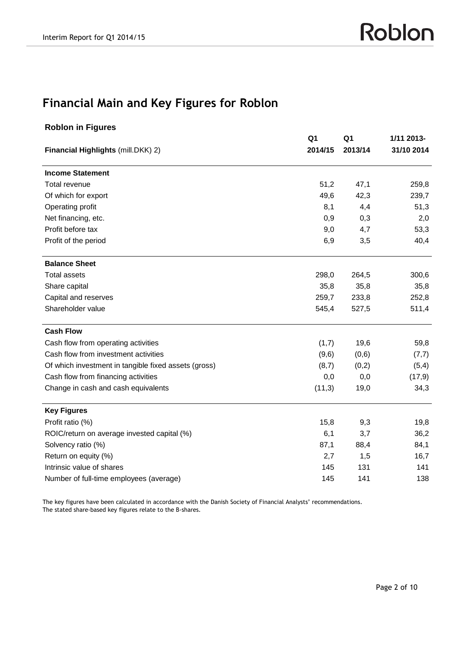# **Financial Main and Key Figures for Roblon**

|                                                      | Q <sub>1</sub> | Q1<br>2013/14 | 1/11 2013-<br>31/10 2014 |
|------------------------------------------------------|----------------|---------------|--------------------------|
| Financial Highlights (mill.DKK) 2)                   | 2014/15        |               |                          |
| <b>Income Statement</b>                              |                |               |                          |
| Total revenue                                        | 51,2           | 47,1          | 259,8                    |
| Of which for export                                  | 49,6           | 42,3          | 239,7                    |
| Operating profit                                     | 8,1            | 4,4           | 51,3                     |
| Net financing, etc.                                  | 0,9            | 0,3           | 2,0                      |
| Profit before tax                                    | 9,0            | 4,7           | 53,3                     |
| Profit of the period                                 | 6,9            | 3,5           | 40,4                     |
| <b>Balance Sheet</b>                                 |                |               |                          |
| <b>Total assets</b>                                  | 298,0          | 264,5         | 300,6                    |
| Share capital                                        | 35,8           | 35,8          | 35,8                     |
| Capital and reserves                                 | 259,7          | 233,8         | 252,8                    |
| Shareholder value                                    | 545,4          | 527,5         | 511,4                    |
| <b>Cash Flow</b>                                     |                |               |                          |
| Cash flow from operating activities                  | (1,7)          | 19,6          | 59,8                     |
| Cash flow from investment activities                 | (9,6)          | (0,6)         | (7,7)                    |
| Of which investment in tangible fixed assets (gross) | (8,7)          | (0,2)         | (5,4)                    |
| Cash flow from financing activities                  | 0,0            | 0,0           | (17,9)                   |
| Change in cash and cash equivalents                  | (11,3)         | 19,0          | 34,3                     |
| <b>Key Figures</b>                                   |                |               |                          |
| Profit ratio (%)                                     | 15,8           | 9,3           | 19,8                     |
| ROIC/return on average invested capital (%)          | 6,1            | 3,7           | 36,2                     |
| Solvency ratio (%)                                   | 87,1           | 88,4          | 84,1                     |
| Return on equity (%)                                 | 2,7            | 1,5           | 16,7                     |
| Intrinsic value of shares                            | 145            | 131           | 141                      |
| Number of full-time employees (average)              | 145            | 141           | 138                      |

The key figures have been calculated in accordance with the Danish Society of Financial Analysts' recommendations. The stated share-based key figures relate to the B-shares.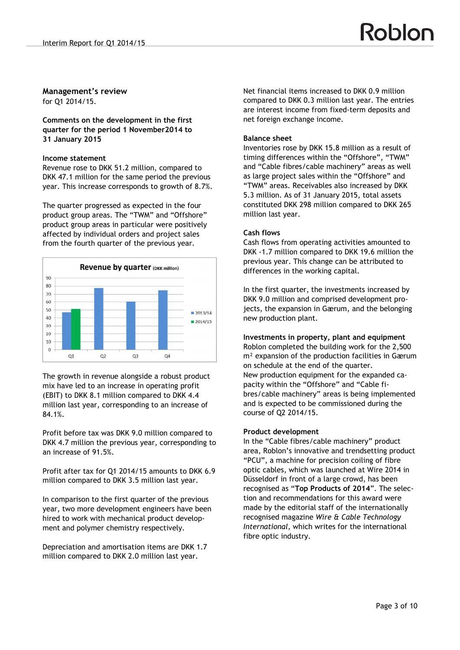# **Management's review**

for Q1 2014/15.

**Comments on the development in the first quarter for the period 1 November2014 to 31 January 2015**

#### **Income statement**

Revenue rose to DKK 51.2 million, compared to DKK 47.1 million for the same period the previous year. This increase corresponds to growth of 8.7%.

The quarter progressed as expected in the four product group areas. The "TWM" and "Offshore" product group areas in particular were positively affected by individual orders and project sales from the fourth quarter of the previous year.



The growth in revenue alongside a robust product mix have led to an increase in operating profit (EBIT) to DKK 8.1 million compared to DKK 4.4 million last year, corresponding to an increase of 84.1%.

Profit before tax was DKK 9.0 million compared to DKK 4.7 million the previous year, corresponding to an increase of 91.5%.

Profit after tax for Q1 2014/15 amounts to DKK 6.9 million compared to DKK 3.5 million last year.

In comparison to the first quarter of the previous year, two more development engineers have been hired to work with mechanical product development and polymer chemistry respectively.

Depreciation and amortisation items are DKK 1.7 million compared to DKK 2.0 million last year.

Net financial items increased to DKK 0.9 million compared to DKK 0.3 million last year. The entries are interest income from fixed-term deposits and net foreign exchange income.

### **Balance sheet**

Inventories rose by DKK 15.8 million as a result of timing differences within the "Offshore", "TWM" and "Cable fibres/cable machinery" areas as well as large project sales within the "Offshore" and "TWM" areas. Receivables also increased by DKK 5.3 million. As of 31 January 2015, total assets constituted DKK 298 million compared to DKK 265 million last year.

## **Cash flows**

Cash flows from operating activities amounted to DKK -1.7 million compared to DKK 19.6 million the previous year. This change can be attributed to differences in the working capital.

In the first quarter, the investments increased by DKK 9.0 million and comprised development projects, the expansion in Gærum, and the belonging new production plant.

# **Investments in property, plant and equipment**

Roblon completed the building work for the 2,500 m² expansion of the production facilities in Gærum on schedule at the end of the quarter. New production equipment for the expanded capacity within the "Offshore" and "Cable fibres/cable machinery" areas is being implemented and is expected to be commissioned during the course of Q2 2014/15.

#### **Product development**

In the "Cable fibres/cable machinery" product area, Roblon's innovative and trendsetting product "PCU", a machine for precision coiling of fibre optic cables, which was launched at Wire 2014 in Düsseldorf in front of a large crowd, has been recognised as "**Top Products of 2014**". The selection and recommendations for this award were made by the editorial staff of the internationally recognised magazine *Wire & Cable Technology International,* which writes for the international fibre optic industry.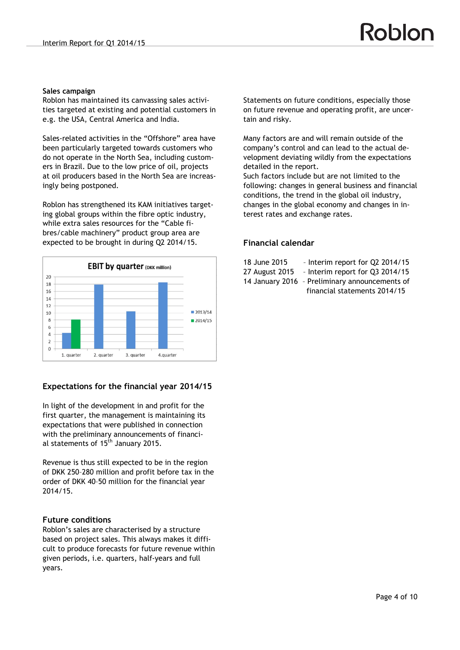#### **Sales campaign**

Roblon has maintained its canvassing sales activities targeted at existing and potential customers in e.g. the USA, Central America and India.

Sales-related activities in the "Offshore" area have been particularly targeted towards customers who do not operate in the North Sea, including customers in Brazil. Due to the low price of oil, projects at oil producers based in the North Sea are increasingly being postponed.

Roblon has strengthened its KAM initiatives targeting global groups within the fibre optic industry, while extra sales resources for the "Cable fibres/cable machinery" product group area are expected to be brought in during Q2 2014/15.



# **Expectations for the financial year 2014/15**

In light of the development in and profit for the first quarter, the management is maintaining its expectations that were published in connection with the preliminary announcements of financial statements of 15<sup>th</sup> January 2015.

Revenue is thus still expected to be in the region of DKK 250–280 million and profit before tax in the order of DKK 40–50 million for the financial year 2014/15.

# **Future conditions**

Roblon's sales are characterised by a structure based on project sales. This always makes it difficult to produce forecasts for future revenue within given periods, i.e. quarters, half-years and full years.

Statements on future conditions, especially those on future revenue and operating profit, are uncertain and risky.

Roblon

Many factors are and will remain outside of the company's control and can lead to the actual development deviating wildly from the expectations detailed in the report.

Such factors include but are not limited to the following: changes in general business and financial conditions, the trend in the global oil industry, changes in the global economy and changes in interest rates and exchange rates.

# **Financial calendar**

- 18 June 2015 Interim report for Q2 2014/15
- 27 August 2015 Interim report for Q3 2014/15
- 14 January 2016 Preliminary announcements of
	- financial statements 2014/15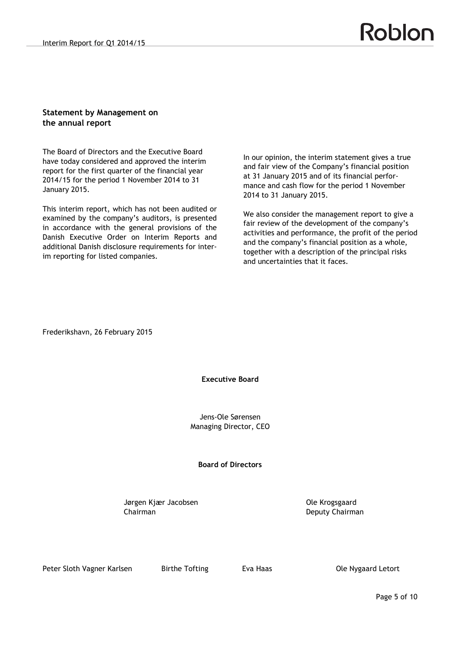# **Statement by Management on the annual report**

The Board of Directors and the Executive Board have today considered and approved the interim report for the first quarter of the financial year 2014/15 for the period 1 November 2014 to 31 January 2015.

This interim report, which has not been audited or examined by the company's auditors, is presented in accordance with the general provisions of the Danish Executive Order on Interim Reports and additional Danish disclosure requirements for interim reporting for listed companies.

In our opinion, the interim statement gives a true and fair view of the Company's financial position at 31 January 2015 and of its financial performance and cash flow for the period 1 November 2014 to 31 January 2015.

We also consider the management report to give a fair review of the development of the company's activities and performance, the profit of the period and the company's financial position as a whole, together with a description of the principal risks and uncertainties that it faces.

Frederikshavn, 26 February 2015

# **Executive Board**

Jens-Ole Sørensen Managing Director, CEO

# **Board of Directors**

Jørgen Kjær Jacobsen **Van Herbert Constantine Constantine Constantine Constantine Constantine Constantine Constantine Constantine Constantine Constantine Constantine Constantine Constantine Constantine Constantine Constant** Chairman Deputy Chairman

Peter Sloth Vagner Karlsen Birthe Tofting Eva Haas Ble Nygaard Letort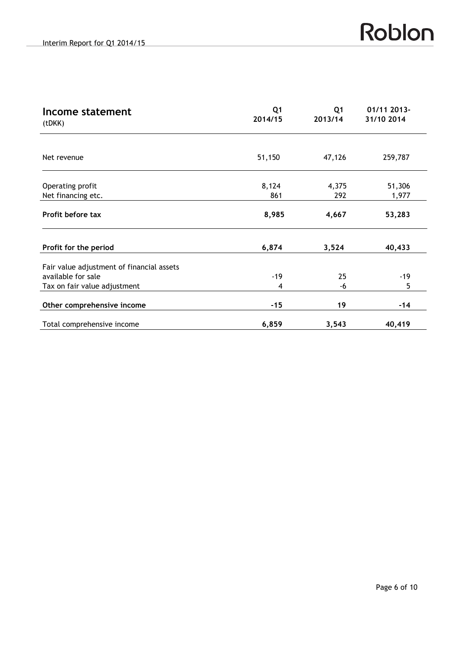| Income statement<br>(tDKK)                | Q <sub>1</sub><br>2014/15 | Q <sub>1</sub><br>2013/14 | 01/11 2013-<br>31/10 2014 |
|-------------------------------------------|---------------------------|---------------------------|---------------------------|
| Net revenue                               | 51,150                    | 47,126                    | 259,787                   |
| Operating profit<br>Net financing etc.    | 8,124<br>861              | 4,375<br>292              | 51,306<br>1,977           |
| Profit before tax                         | 8,985                     | 4,667                     | 53,283                    |
| Profit for the period                     | 6,874                     | 3,524                     | 40,433                    |
| Fair value adjustment of financial assets |                           |                           |                           |
| available for sale                        | $-19$                     | 25                        | $-19$                     |
| Tax on fair value adjustment              | 4                         | -6                        | 5                         |
| Other comprehensive income                | $-15$                     | 19                        | $-14$                     |
| Total comprehensive income                | 6,859                     | 3,543                     | 40,419                    |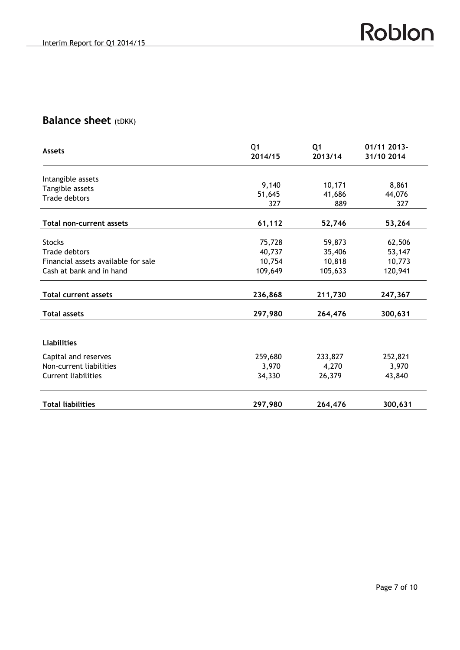# **Balance sheet** (tDKK)

| Assets                              | Q <sub>1</sub><br>2014/15 | Q <sub>1</sub><br>2013/14 | 01/11 2013-<br>31/10 2014 |
|-------------------------------------|---------------------------|---------------------------|---------------------------|
| Intangible assets                   |                           |                           |                           |
| Tangible assets                     | 9,140                     | 10,171                    | 8,861                     |
| <b>Trade debtors</b>                | 51,645                    | 41,686                    | 44,076                    |
|                                     | 327                       | 889                       | 327                       |
| <b>Total non-current assets</b>     | 61,112                    | 52,746                    | 53,264                    |
| <b>Stocks</b>                       | 75,728                    | 59,873                    | 62,506                    |
| Trade debtors                       | 40,737                    | 35,406                    | 53,147                    |
| Financial assets available for sale | 10,754                    | 10,818                    | 10,773                    |
| Cash at bank and in hand            | 109,649                   | 105,633                   | 120,941                   |
| <b>Total current assets</b>         | 236,868                   | 211,730                   | 247,367                   |
| <b>Total assets</b>                 | 297,980                   | 264,476                   | 300,631                   |
| <b>Liabilities</b>                  |                           |                           |                           |
| Capital and reserves                | 259,680                   | 233,827                   | 252,821                   |
| Non-current liabilities             | 3,970                     | 4,270                     | 3,970                     |
| Current liabilities                 | 34,330                    | 26,379                    | 43,840                    |
| <b>Total liabilities</b>            | 297,980                   | 264,476                   | 300,631                   |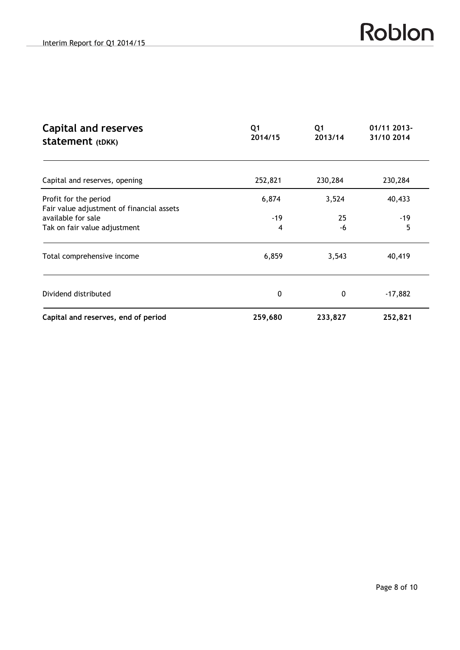| <b>Capital and reserves</b><br><b>statement</b> (tDKK) | Q <sub>1</sub><br>2014/15 | Q1<br>2013/14 | 01/11 2013-<br>31/10 2014 |  |
|--------------------------------------------------------|---------------------------|---------------|---------------------------|--|
| Capital and reserves, opening                          | 252,821                   | 230,284       | 230,284                   |  |
| Profit for the period                                  | 6,874                     | 3,524         | 40,433                    |  |
| Fair value adjustment of financial assets              |                           |               |                           |  |
| available for sale                                     | $-19$                     | 25            | $-19$                     |  |
| Tak on fair value adjustment                           | 4                         | -6            | 5                         |  |
| Total comprehensive income                             | 6,859                     | 3,543         | 40,419                    |  |
| Dividend distributed                                   | 0                         | 0             | $-17,882$                 |  |
| Capital and reserves, end of period                    | 259,680                   | 233,827       | 252,821                   |  |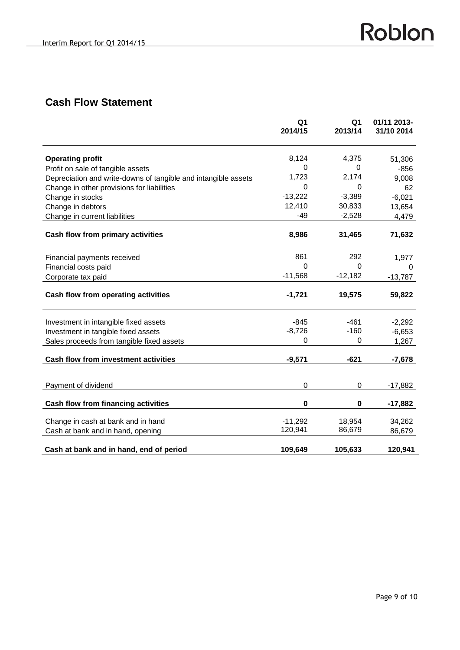# **Cash Flow Statement**

|                                                                | Q <sub>1</sub><br>2014/15 | Q <sub>1</sub><br>2013/14 | 01/11 2013-<br>31/10 2014 |
|----------------------------------------------------------------|---------------------------|---------------------------|---------------------------|
|                                                                |                           |                           |                           |
| <b>Operating profit</b>                                        | 8,124                     | 4,375                     | 51,306                    |
| Profit on sale of tangible assets                              | 0                         | 0                         | $-856$                    |
| Depreciation and write-downs of tangible and intangible assets | 1,723                     | 2,174                     | 9,008                     |
| Change in other provisions for liabilities                     | 0                         | 0                         | 62                        |
| Change in stocks                                               | $-13,222$                 | $-3,389$                  | $-6,021$                  |
| Change in debtors                                              | 12,410                    | 30,833                    | 13,654                    |
| Change in current liabilities                                  | -49                       | $-2,528$                  | 4,479                     |
| Cash flow from primary activities                              | 8,986                     | 31,465                    | 71,632                    |
|                                                                |                           |                           |                           |
| Financial payments received                                    | 861                       | 292                       | 1,977                     |
| Financial costs paid                                           | 0                         | $\Omega$                  | 0                         |
| Corporate tax paid                                             | $-11,568$                 | $-12,182$                 | $-13,787$                 |
| Cash flow from operating activities                            | $-1,721$                  | 19,575                    | 59,822                    |
|                                                                |                           |                           |                           |
| Investment in intangible fixed assets                          | $-845$                    | $-461$                    | $-2,292$                  |
| Investment in tangible fixed assets                            | $-8,726$                  | $-160$                    | $-6,653$                  |
| Sales proceeds from tangible fixed assets                      | 0                         | $\boldsymbol{0}$          | 1,267                     |
| Cash flow from investment activities                           | $-9,571$                  | $-621$                    | $-7,678$                  |
|                                                                |                           |                           |                           |
| Payment of dividend                                            | $\boldsymbol{0}$          | 0                         | $-17,882$                 |
| Cash flow from financing activities                            | 0                         | $\pmb{0}$                 | $-17,882$                 |
| Change in cash at bank and in hand                             | $-11,292$                 |                           |                           |
| Cash at bank and in hand, opening                              | 120,941                   | 18,954<br>86,679          | 34,262<br>86,679          |
|                                                                |                           |                           |                           |
| Cash at bank and in hand, end of period                        | 109,649                   | 105,633                   | 120,941                   |